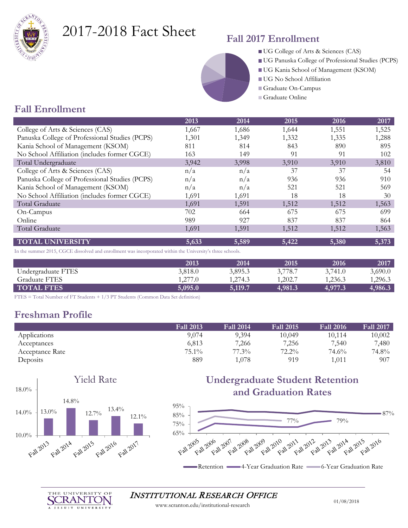

# 2017-2018 Fact Sheet

### **Fall 2017 Enrollment**

- UG College of Arts & Sciences (CAS)
- UG Panuska College of Professional Studies (PCPS)
- UG Kania School of Management (KSOM)
- UG No School Affiliation
- Graduate On-Campus
- Graduate Online

### **Fall Enrollment**

|                                                                                                           | 2013    | 2014    | 2015    | 2016    | 2017                 |
|-----------------------------------------------------------------------------------------------------------|---------|---------|---------|---------|----------------------|
| College of Arts & Sciences (CAS)                                                                          | 1,667   | 1,686   | 1,644   | 1,551   | 1,525                |
| Panuska College of Professional Studies (PCPS)                                                            | 1,301   | 1,349   | 1,332   | 1,335   | 1,288                |
| Kania School of Management (KSOM)                                                                         | 811     | 814     | 843     | 890     | 895                  |
| No School Affiliation (includes former CGCE)                                                              | 163     | 149     | 91      | 91      | 102                  |
| Total Undergraduate                                                                                       | 3,942   | 3,998   | 3,910   | 3,910   | 3,810                |
| College of Arts & Sciences (CAS)                                                                          | n/a     | n/a     | 37      | 37      | 54                   |
| Panuska College of Professional Studies (PCPS)                                                            | n/a     | n/a     | 936     | 936     | 910                  |
| Kania School of Management (KSOM)                                                                         | n/a     | n/a     | 521     | 521     | 569                  |
| No School Affiliation (includes former CGCE)                                                              | 1,691   | 1,691   | 18      | 18      | 30                   |
| Total Graduate                                                                                            | 1,691   | 1,591   | 1,512   | 1,512   | 1,563                |
| On-Campus                                                                                                 | 702     | 664     | 675     | 675     | 699                  |
| Online                                                                                                    | 989     | 927     | 837     | 837     | 864                  |
| Total Graduate                                                                                            | 1,691   | 1,591   | 1,512   | 1,512   | 1,563                |
| <b>TOTAL UNIVERSITY</b>                                                                                   | 5,633   | 5,589   | 5,422   | 5,380   | 5,373                |
| In the summer 2015, CGCE dissolved and enrollment was incorporated within the University's three schools. |         |         |         |         |                      |
|                                                                                                           | 2013    | 2014    | 2015    | 2016    | 2017                 |
| Undergraduate FTES                                                                                        | 3,818.0 | 3,895.3 | 3,778.7 | 3,741.0 | 3,690.0              |
| Graduate FTES                                                                                             | 1,277.0 | 1,274.3 | 1,202.7 | 1,236.3 | 1,296.3              |
| <b>TOTAL FTES</b>                                                                                         | 5,095.0 | 5,119.7 | 4,981.3 | 4,977.3 | $\overline{4,986.3}$ |

FTES = Total Number of FT Students + 1/3 PT Students (Common Data Set definition)

### **Freshman Profile**

|                 | <b>Fall 2013</b> | <b>Fall 2014</b> | <b>Fall 2015</b> | <b>Fall 2016</b> | <b>Fall 2017</b> |
|-----------------|------------------|------------------|------------------|------------------|------------------|
| Applications    | 9.074            | 9,394            | 10.049           | 10.114           | 10,002           |
| Acceptances     | 6.813            | 7,266            | 7,256            | 7,540            | 7,480            |
| Acceptance Rate | 75.1%            | 77.3%            | 72.2%            | 74.6%            | 74.8%            |
| Deposits        | 889              | 1,078            | 919              | 1.011            | 907              |



### **Undergraduate Student Retention and Graduation Rates**





#### INSTITUTIONAL RESEARCH OFFICE